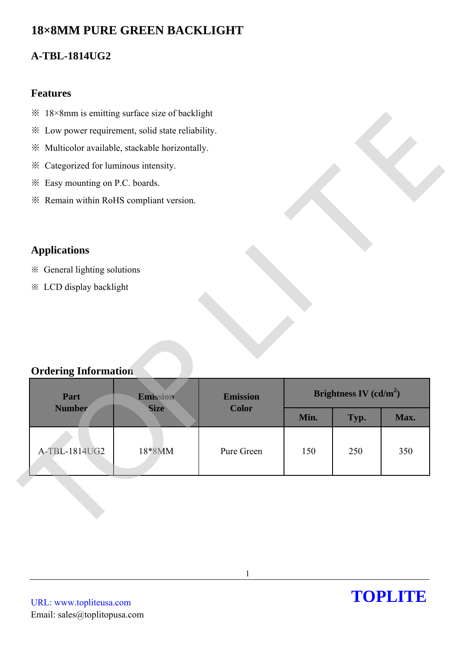# **18×8MM PURE GREEN BACKLIGHT**

## **A-TBL-1814UG2**

#### **Features**

- ※ 18×8mm is emitting surface size of backlight
- ※ Low power requirement, solid state reliability.
- ※ Multicolor available, stackable horizontally.
- ※ Categorized for luminous intensity.
- ※ Easy mounting on P.C. boards.
- ※ Remain within RoHS compliant version.

## **Applications**

- ※ General lighting solutions
- ※ LCD display backlight

## **Ordering Information**

| * Low power requirement, solid state reliability.       |                         |                                 |      |                          |      |
|---------------------------------------------------------|-------------------------|---------------------------------|------|--------------------------|------|
| ※ Multicolor available, stackable horizontally.         |                         |                                 |      |                          |      |
| * Categorized for luminous intensity.                   |                         |                                 |      |                          |      |
| * Easy mounting on P.C. boards.                         |                         |                                 |      |                          |      |
| * Remain within RoHS compliant version.                 |                         |                                 |      |                          |      |
|                                                         |                         |                                 |      |                          |      |
|                                                         |                         |                                 |      |                          |      |
| <b>Applications</b>                                     |                         |                                 |      |                          |      |
|                                                         |                         |                                 |      |                          |      |
|                                                         |                         |                                 |      |                          |      |
| ※ General lighting solutions<br>* LCD display backlight |                         |                                 |      |                          |      |
|                                                         |                         |                                 |      |                          |      |
|                                                         |                         |                                 |      |                          |      |
|                                                         |                         |                                 |      |                          |      |
|                                                         |                         |                                 |      |                          |      |
| <b>Ordering Information</b>                             |                         |                                 |      |                          |      |
|                                                         |                         |                                 |      |                          |      |
| Part<br><b>Number</b>                                   | Emission<br><b>Size</b> | <b>Emission</b><br><b>Color</b> |      | Brightness IV $(cd/m^2)$ |      |
|                                                         |                         |                                 | Min. | Typ.                     | Max. |
|                                                         |                         |                                 |      |                          |      |
| A-TBL-1814UG2                                           | 18*8MM                  | Pure Green                      | 150  | 250                      | 350  |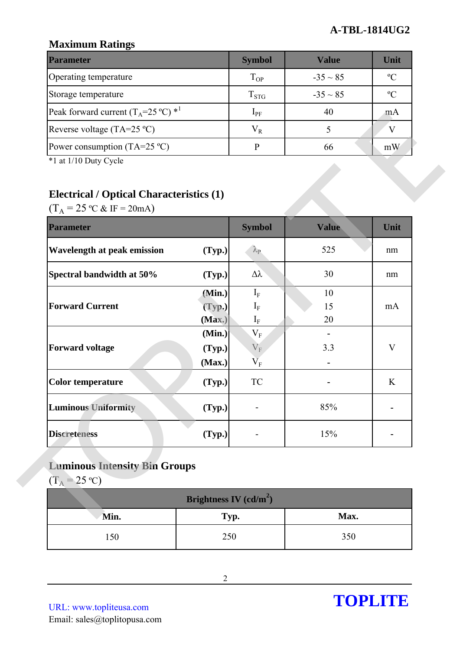## **A-TBL-1814UG2**

## **Maximum Ratings**

| <b>Parameter</b>                                         | <b>Symbol</b> | Value         | Unit          |
|----------------------------------------------------------|---------------|---------------|---------------|
| Operating temperature                                    | $T_{OP}$      | $-35 \sim 85$ | $\rm ^oC$     |
| Storage temperature                                      | $T_{STG}$     | $-35 \sim 85$ | $\mathcal{C}$ |
| Peak forward current $(T_A=25 \degree C)$ * <sup>1</sup> | $1_{\rm PF}$  | 40            | mA            |
| Reverse voltage (TA=25 $^{\circ}$ C)                     | $\rm V_R$     |               |               |
| Power consumption $(TA=25 \degree C)$                    |               | 66            | mW            |

## **Electrical / Optical Characteristics (1)**

| Peak forward current $(T_A=25 \degree C)^*$                                                                                       |                          | $1_{PF}$                             | 40           | mA          |
|-----------------------------------------------------------------------------------------------------------------------------------|--------------------------|--------------------------------------|--------------|-------------|
| Reverse voltage (TA=25 °C)                                                                                                        |                          | $V_R$                                | 5            | V           |
| Power consumption (TA=25 $^{\circ}$ C)                                                                                            |                          | $\mathbf{P}$                         | 66           | mW          |
| *1 at 1/10 Duty Cycle<br><b>Electrical / Optical Characteristics (1)</b><br>$(T_A = 25 \text{ °C} \& \text{ IF} = 20 \text{ mA})$ |                          |                                      |              |             |
| <b>Parameter</b>                                                                                                                  |                          | <b>Symbol</b>                        | <b>Value</b> | Unit        |
| <b>Wavelength at peak emission</b>                                                                                                | (Typ.)                   | $\lambda_{\rm P}$                    | 525          | nm          |
| Spectral bandwidth at 50%                                                                                                         | (Typ.)                   | $\Delta \lambda$                     | 30           | nm          |
|                                                                                                                                   | (Min.)                   | $\mathbf{I}_{\text{F}}$              | 10           |             |
| <b>Forward Current</b>                                                                                                            | (Typ.)                   | $I_{\rm F}$                          | 15           | mA          |
|                                                                                                                                   | (Max.)                   | $\mathbf{I}_{\text{F}}$<br>$\rm V_F$ | 20           |             |
| <b>Forward voltage</b>                                                                                                            | (Min.)<br>(Typ.)         | $\rm V_F$                            | 3.3          | $\mathbf V$ |
|                                                                                                                                   | (Max.)                   | $\rm V_F$                            | -            |             |
| <b>Color temperature</b>                                                                                                          | (Typ.)                   | <b>TC</b>                            |              | K           |
| <b>Luminous Uniformity</b>                                                                                                        | (Typ.)                   |                                      | 85%          |             |
| <b>Discreteness</b>                                                                                                               | (Typ.)                   |                                      | 15%          |             |
| <b>Luminous Intensity Bin Groups</b><br>$(T_A = 25 °C)$                                                                           |                          |                                      |              |             |
|                                                                                                                                   | Brightness IV $(cd/m^2)$ |                                      |              |             |
| Min.                                                                                                                              | Typ.                     |                                      | Max.         |             |
| 150                                                                                                                               | 250                      |                                      | 350          |             |

## **Luminous Intensity Bin Groups**

| Brightness IV $(cd/m^2)$ |      |      |  |  |
|--------------------------|------|------|--|--|
| Min.                     | Typ. | Max. |  |  |
| 150                      | 250  | 350  |  |  |

URL: www.topliteusa.com Email: sales@toplitopusa.com

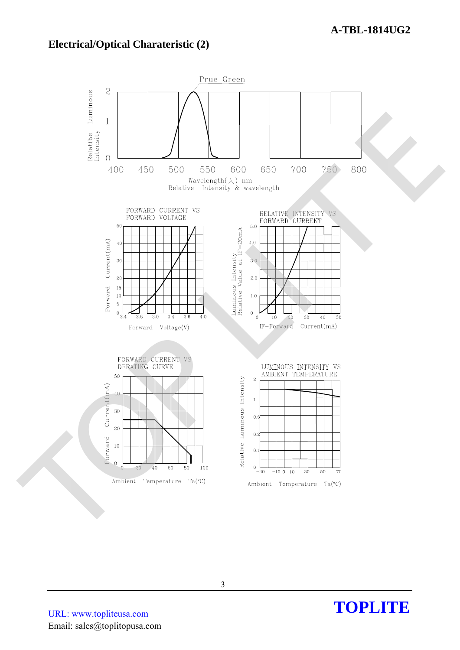### **Electrical/Optical Charateristic (2)**



URL: www.topliteusa.com Email: sales@toplitopusa.com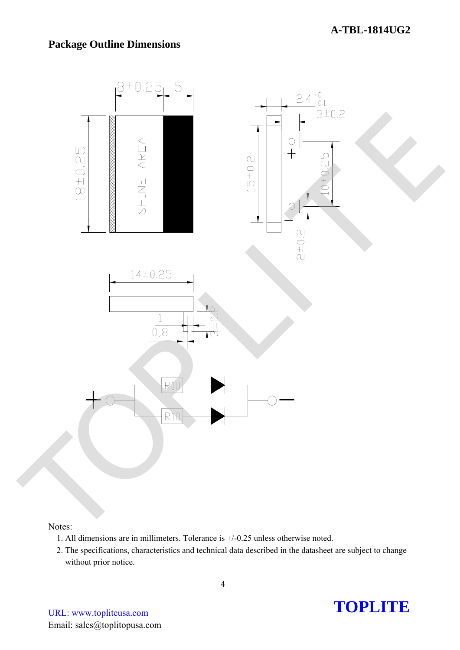#### **A-TBL-1814UG2**

#### **Package Outline Dimensions**



#### Notes:

- 1. All dimensions are in millimeters. Tolerance is +/-0.25 unless otherwise noted.
- 2. The specifications, characteristics and technical data described in the datasheet are subject to change without prior notice.